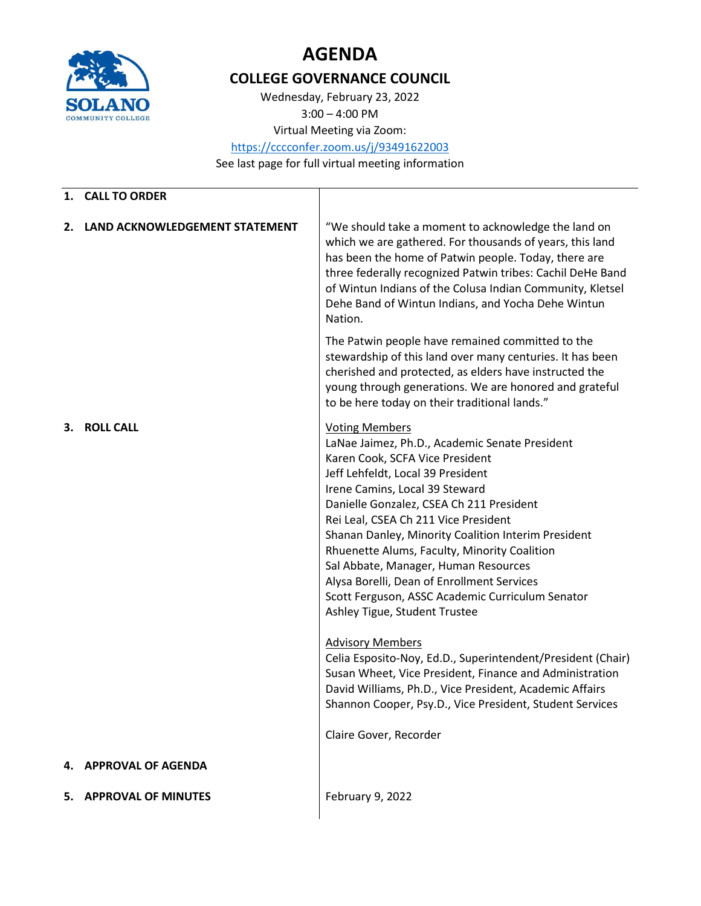

## **AGENDA**

## **COLLEGE GOVERNANCE COUNCIL**

Wednesday, February 23, 2022 3:00 – 4:00 PM

Virtual Meeting via Zoom:

<https://cccconfer.zoom.us/j/93491622003>

See last page for full virtual meeting information

| 1. | <b>CALL TO ORDER</b>           |                                                                                                                                                                                                                                                                                                                                                                                                                                                                                                                                                         |
|----|--------------------------------|---------------------------------------------------------------------------------------------------------------------------------------------------------------------------------------------------------------------------------------------------------------------------------------------------------------------------------------------------------------------------------------------------------------------------------------------------------------------------------------------------------------------------------------------------------|
| 2. | LAND ACKNOWLEDGEMENT STATEMENT | "We should take a moment to acknowledge the land on<br>which we are gathered. For thousands of years, this land<br>has been the home of Patwin people. Today, there are<br>three federally recognized Patwin tribes: Cachil DeHe Band<br>of Wintun Indians of the Colusa Indian Community, Kletsel<br>Dehe Band of Wintun Indians, and Yocha Dehe Wintun<br>Nation.                                                                                                                                                                                     |
|    |                                | The Patwin people have remained committed to the<br>stewardship of this land over many centuries. It has been<br>cherished and protected, as elders have instructed the<br>young through generations. We are honored and grateful<br>to be here today on their traditional lands."                                                                                                                                                                                                                                                                      |
| 3. | <b>ROLL CALL</b>               | <b>Voting Members</b><br>LaNae Jaimez, Ph.D., Academic Senate President<br>Karen Cook, SCFA Vice President<br>Jeff Lehfeldt, Local 39 President<br>Irene Camins, Local 39 Steward<br>Danielle Gonzalez, CSEA Ch 211 President<br>Rei Leal, CSEA Ch 211 Vice President<br>Shanan Danley, Minority Coalition Interim President<br>Rhuenette Alums, Faculty, Minority Coalition<br>Sal Abbate, Manager, Human Resources<br>Alysa Borelli, Dean of Enrollment Services<br>Scott Ferguson, ASSC Academic Curriculum Senator<br>Ashley Tigue, Student Trustee |
|    |                                | <b>Advisory Members</b><br>Celia Esposito-Noy, Ed.D., Superintendent/President (Chair)<br>Susan Wheet, Vice President, Finance and Administration<br>David Williams, Ph.D., Vice President, Academic Affairs<br>Shannon Cooper, Psy.D., Vice President, Student Services                                                                                                                                                                                                                                                                                |
|    |                                | Claire Gover, Recorder                                                                                                                                                                                                                                                                                                                                                                                                                                                                                                                                  |
| 4. | <b>APPROVAL OF AGENDA</b>      |                                                                                                                                                                                                                                                                                                                                                                                                                                                                                                                                                         |
| 5. | <b>APPROVAL OF MINUTES</b>     | February 9, 2022                                                                                                                                                                                                                                                                                                                                                                                                                                                                                                                                        |